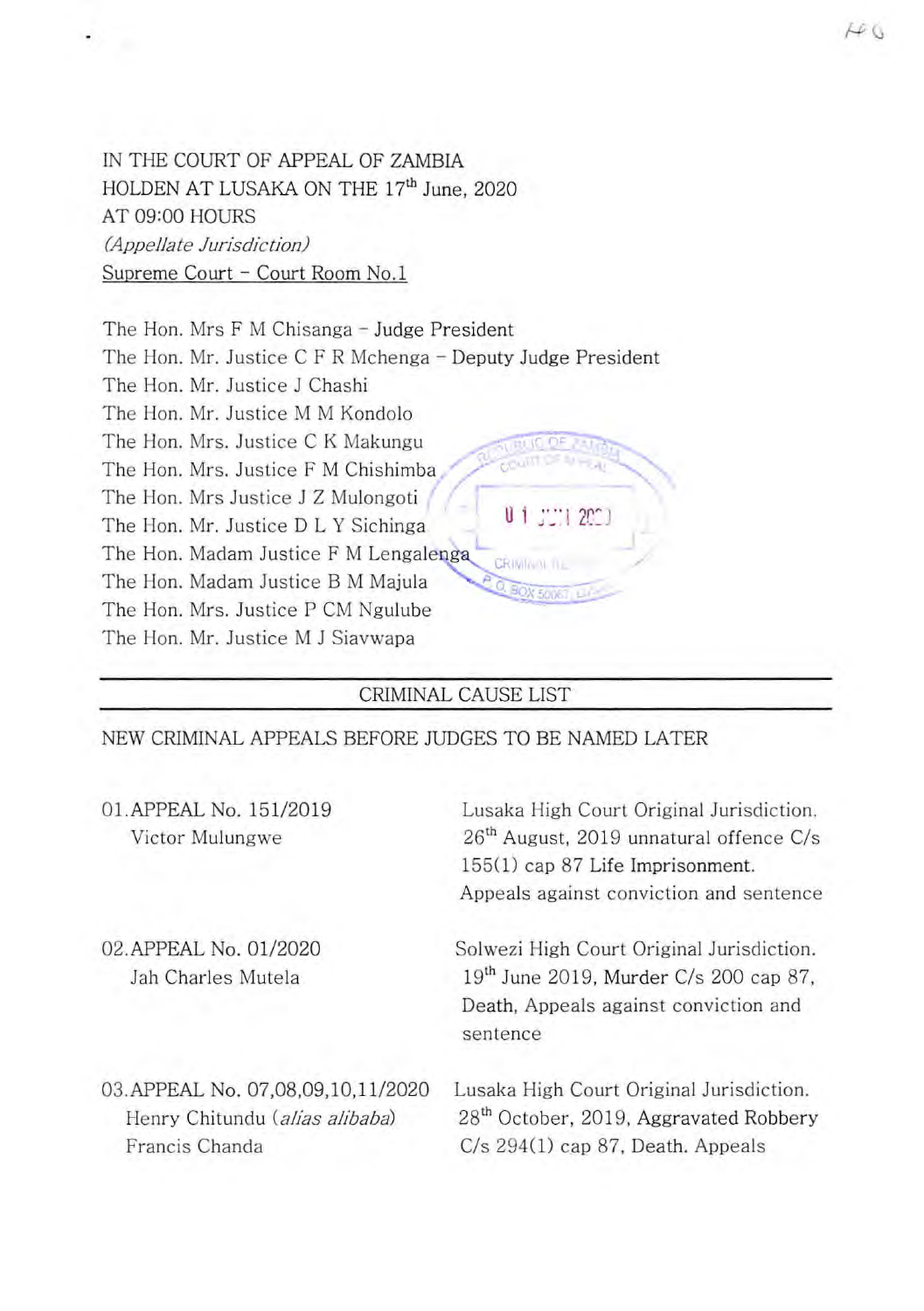IN THE COURT OF APPEAL OF ZAMBIA HOLDEN AT LUSAKA ON THE **17th** June, 2020 AT 09:00 HOURS *(Appellate Jurisdiction)*  Supreme Court - Court Room No.1

The Hon. Mrs. Justice F M Chishimba The Hon. Mr. Justice M M Kondolo<br>The Hon. Mrs. Justice C K Makungu<br>The Hon. Mrs. Justice F M Chishimba<br>The Hon. Mr. Justice J Z Mulongoti<br>The Hon. Mr. Justice D L Y Sichinga The Hon. Mr. Justice D L Y Sichinga The Hon. Madam Justice F M Lengalenga The Hon. Madam Justice B M Majula The Hon. Mrs. Justice P CM Ngulube The Hon. Mr. Justice M J Siavwapa The Hon. Mrs F M Chisanga - Judge President The Hon. Mr. Justice C F R Mchenga - Deputy Judge President The Hon. Mr. Justice J Chashi The Hon. Mr. Justice M M Kondolo The Hon. Mrs. Justice C K Makungu  $\therefore$  1 2C $\degree$ 

## CRIMINAL CAUSE LIST

NEW CRIMINAL APPEALS BEFORE JUDGES TO BE NAMED LATER

| 01. APPEAL No. 151/2019<br>Victor Mulungwe                                             | Lusaka High Court Original Jurisdiction.<br>$26th$ August, 2019 unnatural offence C/s<br>155(1) cap 87 Life Imprisonment.<br>Appeals against conviction and sentence |
|----------------------------------------------------------------------------------------|----------------------------------------------------------------------------------------------------------------------------------------------------------------------|
| 02. APPEAL No. 01/2020<br>Jah Charles Mutela                                           | Solwezi High Court Original Jurisdiction.<br>19 <sup>th</sup> June 2019, Murder C/s 200 cap 87,<br>Death, Appeals against conviction and<br>sentence                 |
| 03. APPEAL No. 07,08,09,10,11/2020<br>Henry Chitundu (alias alibaba)<br>Francis Chanda | Lusaka High Court Original Jurisdiction.<br>28 <sup>th</sup> October, 2019, Aggravated Robbery<br>$C/s$ 294(1) cap 87, Death. Appeals                                |